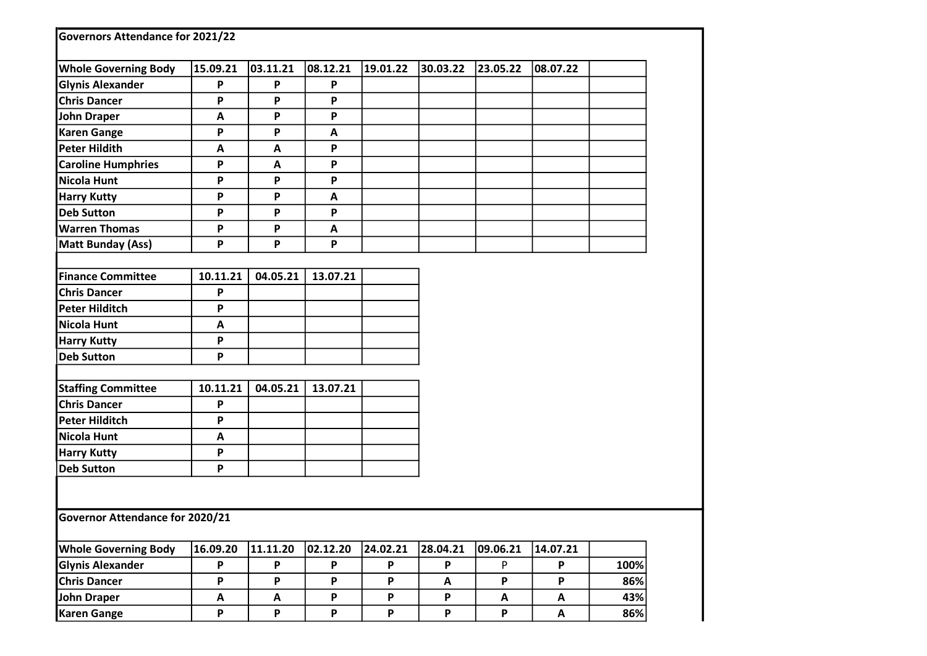| <b>Governors Attendance for 2021/22</b> |                           |          |          |          |          |          |                           |      |
|-----------------------------------------|---------------------------|----------|----------|----------|----------|----------|---------------------------|------|
| <b>Whole Governing Body</b>             | 15.09.21                  | 03.11.21 | 08.12.21 | 19.01.22 | 30.03.22 | 23.05.22 | 08.07.22                  |      |
| <b>Glynis Alexander</b>                 | P                         | P        | P        |          |          |          |                           |      |
| <b>Chris Dancer</b>                     | P                         | P        | P        |          |          |          |                           |      |
| <b>John Draper</b>                      | Α                         | P        | P        |          |          |          |                           |      |
| <b>Karen Gange</b>                      | P                         | P        | A        |          |          |          |                           |      |
| <b>Peter Hildith</b>                    | A                         | A        | P        |          |          |          |                           |      |
| <b>Caroline Humphries</b>               | P                         | A        | P        |          |          |          |                           |      |
| <b>Nicola Hunt</b>                      | P                         | P        | P        |          |          |          |                           |      |
| <b>Harry Kutty</b>                      | P                         | P        | A        |          |          |          |                           |      |
| <b>Deb Sutton</b>                       | P                         | P        | P        |          |          |          |                           |      |
| <b>Warren Thomas</b>                    | P                         | P        | A        |          |          |          |                           |      |
| Matt Bunday (Ass)                       | P                         | P        | P        |          |          |          |                           |      |
|                                         |                           |          |          |          |          |          |                           |      |
| <b>Finance Committee</b>                | 10.11.21                  | 04.05.21 | 13.07.21 |          |          |          |                           |      |
| <b>Chris Dancer</b>                     | P                         |          |          |          |          |          |                           |      |
| <b>Peter Hilditch</b>                   | P                         |          |          |          |          |          |                           |      |
| <b>Nicola Hunt</b>                      | A                         |          |          |          |          |          |                           |      |
| <b>Harry Kutty</b>                      | P                         |          |          |          |          |          |                           |      |
| <b>Deb Sutton</b>                       | P                         |          |          |          |          |          |                           |      |
|                                         |                           |          |          |          |          |          |                           |      |
| <b>Staffing Committee</b>               | 10.11.21                  | 04.05.21 | 13.07.21 |          |          |          |                           |      |
| <b>Chris Dancer</b>                     | P                         |          |          |          |          |          |                           |      |
| <b>Peter Hilditch</b>                   | P                         |          |          |          |          |          |                           |      |
| <b>Nicola Hunt</b>                      | A                         |          |          |          |          |          |                           |      |
| <b>Harry Kutty</b>                      | P                         |          |          |          |          |          |                           |      |
| <b>Deb Sutton</b>                       | P                         |          |          |          |          |          |                           |      |
|                                         |                           |          |          |          |          |          |                           |      |
| Governor Attendance for 2020/21         |                           |          |          |          |          |          |                           |      |
| <b>Whole Governing Body</b>             | 16.09.20                  | 11.11.20 | 02.12.20 | 24.02.21 | 28.04.21 | 09.06.21 | 14.07.21                  |      |
| <b>Glynis Alexander</b>                 | P                         | P        | P        | P        | P        | P        | P                         | 100% |
| <b>Chris Dancer</b>                     | P                         | P        | P        | P        | A        | P        | P                         | 86%  |
| John Draper                             | $\boldsymbol{\mathsf{A}}$ | A        | P        | P        | P        | A        | A                         | 43%  |
| <b>Karen Gange</b>                      | $\boldsymbol{\mathsf{P}}$ | P        | P        | P        | P        | P        | $\boldsymbol{\mathsf{A}}$ | 86%  |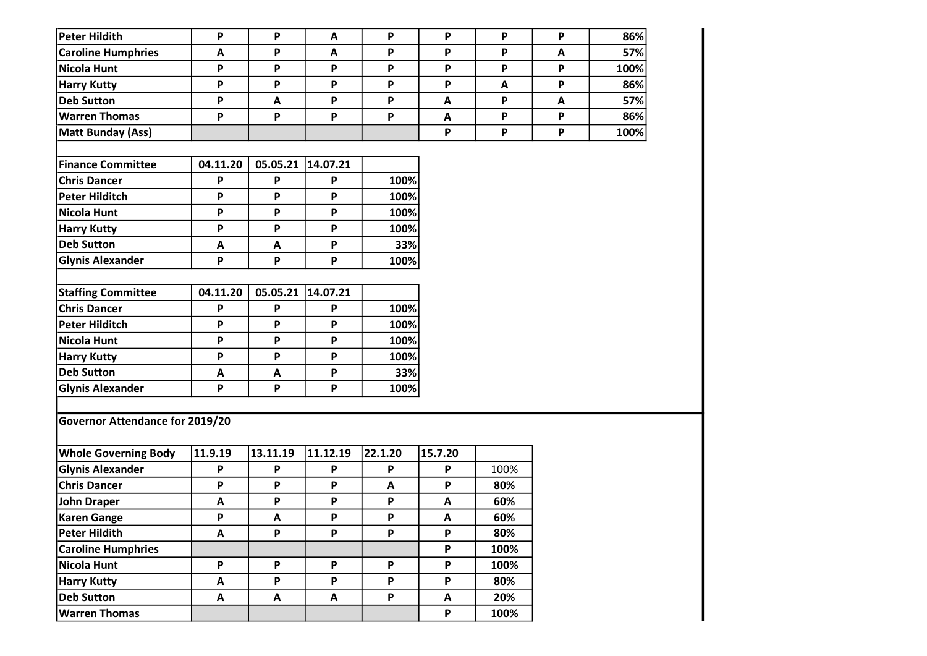| <b>Peter Hildith</b>            | P        | P                         | A        | P                         | P                         | P            | P | 86%  |
|---------------------------------|----------|---------------------------|----------|---------------------------|---------------------------|--------------|---|------|
| <b>Caroline Humphries</b>       | A        | $\boldsymbol{\mathsf{P}}$ | A        | $\boldsymbol{\mathsf{P}}$ | P                         | P            | A | 57%  |
| <b>Nicola Hunt</b>              | P        | P                         | P        | P                         | P                         | P            | P | 100% |
| <b>Harry Kutty</b>              | P        | P                         | P        | $\boldsymbol{\mathsf{P}}$ | $\boldsymbol{\mathsf{P}}$ | $\mathbf{A}$ | P | 86%  |
| <b>Deb Sutton</b>               | P        | A                         | P        | $\boldsymbol{\mathsf{P}}$ | $\boldsymbol{\mathsf{A}}$ | P            | A | 57%  |
| <b>Warren Thomas</b>            | P        | P                         | P        | P                         | A                         | P            | P | 86%  |
| <b>Matt Bunday (Ass)</b>        |          |                           |          |                           | P                         | P            | P | 100% |
|                                 |          |                           |          |                           |                           |              |   |      |
| <b>Finance Committee</b>        | 04.11.20 | 05.05.21                  | 14.07.21 |                           |                           |              |   |      |
| <b>Chris Dancer</b>             | P        | P                         | P        | 100%                      |                           |              |   |      |
| <b>Peter Hilditch</b>           | P        | P                         | P        | 100%                      |                           |              |   |      |
| <b>Nicola Hunt</b>              | P        | P                         | P        | 100%                      |                           |              |   |      |
| <b>Harry Kutty</b>              | P        | P                         | P        | 100%                      |                           |              |   |      |
| <b>Deb Sutton</b>               | A        | A                         | P        | 33%                       |                           |              |   |      |
| <b>Glynis Alexander</b>         | P        | $\mathsf P$               | P        | 100%                      |                           |              |   |      |
|                                 |          |                           |          |                           |                           |              |   |      |
| <b>Staffing Committee</b>       | 04.11.20 | 05.05.21                  | 14.07.21 |                           |                           |              |   |      |
| <b>Chris Dancer</b>             | P        | P                         | P        | 100%                      |                           |              |   |      |
| <b>Peter Hilditch</b>           | P        | P                         | P        | 100%                      |                           |              |   |      |
| <b>Nicola Hunt</b>              | P        | P                         | P        | 100%                      |                           |              |   |      |
| <b>Harry Kutty</b>              | P        | $\boldsymbol{\mathsf{P}}$ | P        | 100%                      |                           |              |   |      |
| <b>Deb Sutton</b>               | A        | $\boldsymbol{\mathsf{A}}$ | P        | 33%                       |                           |              |   |      |
| <b>Glynis Alexander</b>         | P        | P                         | P        | 100%                      |                           |              |   |      |
|                                 |          |                           |          |                           |                           |              |   |      |
| Governor Attendance for 2019/20 |          |                           |          |                           |                           |              |   |      |
|                                 |          |                           |          |                           |                           |              |   |      |
| <b>Whole Governing Body</b>     | 11.9.19  | 13.11.19                  | 11.12.19 | 22.1.20                   | 15.7.20                   |              |   |      |
| <b>Glynis Alexander</b>         | P        | $\mathsf{P}$              | P        | P                         | P                         | 100%         |   |      |
| <b>Chris Dancer</b>             | P        | $\boldsymbol{\mathsf{P}}$ | P        | $\mathbf{A}$              | P                         | 80%          |   |      |
| <b>John Draper</b>              | A        | P                         | P        | P                         | A                         | 60%          |   |      |
| <b>Karen Gange</b>              | P        | $\pmb{\mathsf{A}}$        | P        | P                         | A                         | 60%          |   |      |
| <b>Peter Hildith</b>            | A        | P                         | P        | P                         | P                         | 80%          |   |      |
| <b>Caroline Humphries</b>       |          |                           |          |                           | P                         | 100%         |   |      |
| <b>Nicola Hunt</b>              | P        | $\mathsf P$               | P        | P                         | $\boldsymbol{\mathsf{P}}$ | 100%         |   |      |
| <b>Harry Kutty</b>              | A        | P                         | P        | P                         | P                         | 80%          |   |      |
| <b>Deb Sutton</b>               | A        | A                         | A        | P                         | $\boldsymbol{\mathsf{A}}$ | 20%          |   |      |
| <b>Warren Thomas</b>            |          |                           |          |                           | P                         | 100%         |   |      |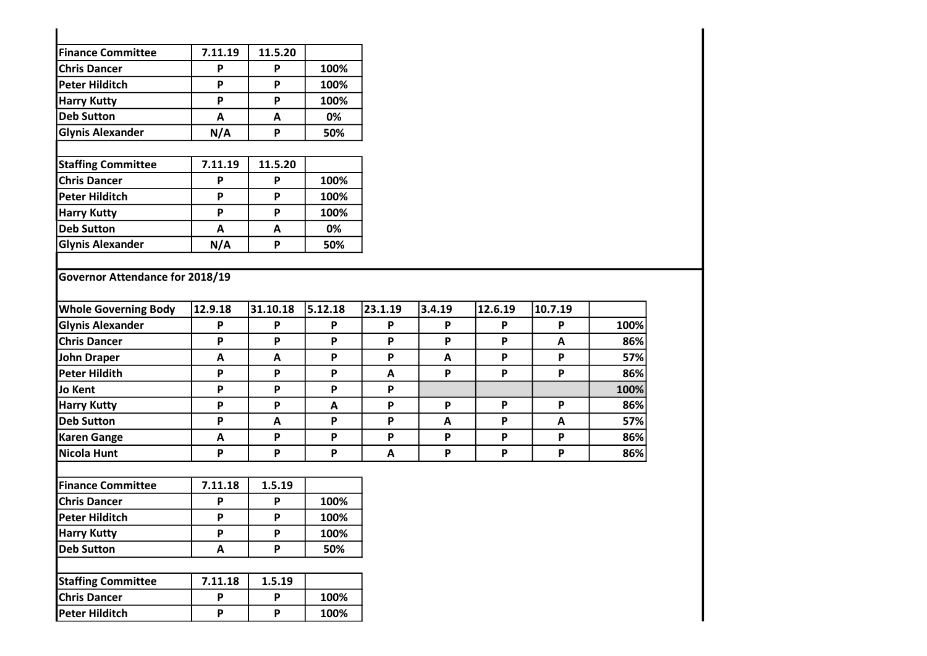| <b>Finance Committee</b>        | 7.11.19                   | 11.5.20                   |         |                           |        |         |         |      |
|---------------------------------|---------------------------|---------------------------|---------|---------------------------|--------|---------|---------|------|
| <b>Chris Dancer</b>             | P                         | P                         | 100%    |                           |        |         |         |      |
| <b>Peter Hilditch</b>           | P                         | P                         | 100%    |                           |        |         |         |      |
| <b>Harry Kutty</b>              | P                         | P                         | 100%    |                           |        |         |         |      |
| <b>Deb Sutton</b>               | $\mathbf{A}$              | $\mathbf{A}$              | 0%      |                           |        |         |         |      |
| <b>Glynis Alexander</b>         | N/A                       | P                         | 50%     |                           |        |         |         |      |
| <b>Staffing Committee</b>       | 7.11.19                   | 11.5.20                   |         |                           |        |         |         |      |
| <b>Chris Dancer</b>             | P                         | P                         | 100%    |                           |        |         |         |      |
| <b>Peter Hilditch</b>           | P                         | P                         | 100%    |                           |        |         |         |      |
| <b>Harry Kutty</b>              | P                         | P                         | 100%    |                           |        |         |         |      |
| <b>Deb Sutton</b>               | $\mathbf{A}$              | $\mathbf{A}$              | 0%      |                           |        |         |         |      |
| <b>Glynis Alexander</b>         | N/A                       | P                         | 50%     |                           |        |         |         |      |
| Governor Attendance for 2018/19 |                           |                           |         |                           |        |         |         |      |
| <b>Whole Governing Body</b>     | 12.9.18                   | 31.10.18                  | 5.12.18 | 23.1.19                   | 3.4.19 | 12.6.19 | 10.7.19 |      |
| <b>Glynis Alexander</b>         | P                         | P                         | P       | P                         | P      | P       | P       | 100% |
| <b>Chris Dancer</b>             | P                         | P                         | P       | P                         | P      | P       | A       | 86%  |
| <b>John Draper</b>              | $\boldsymbol{\mathsf{A}}$ | $\boldsymbol{\mathsf{A}}$ | P       | P                         | A      | P       | P       | 57%  |
| <b>Peter Hildith</b>            | P                         | P                         | P       | A                         | P      | P       | P       | 86%  |
| <b>Jo Kent</b>                  | P                         | P                         | P       | P                         |        |         |         | 100% |
| <b>Harry Kutty</b>              | P                         | P                         | A       | P                         | P      | P       | P       | 86%  |
| <b>Deb Sutton</b>               | P                         | A                         | P       | P                         | A      | P       | A       | 57%  |
| <b>Karen Gange</b>              | $\boldsymbol{\mathsf{A}}$ | P                         | P       | P                         | P      | P       | P       | 86%  |
| <b>Nicola Hunt</b>              | P                         | P                         | P       | $\boldsymbol{\mathsf{A}}$ | P      | P       | P       | 86%  |
| <b>Finance Committee</b>        | 7.11.18                   | 1.5.19                    |         |                           |        |         |         |      |
| <b>Chris Dancer</b>             | P                         | P                         | 100%    |                           |        |         |         |      |
| <b>Peter Hilditch</b>           | P                         | $\boldsymbol{\mathsf{P}}$ | 100%    |                           |        |         |         |      |
| <b>Harry Kutty</b>              | P                         | P                         | 100%    |                           |        |         |         |      |
| <b>Deb Sutton</b>               | $\boldsymbol{\mathsf{A}}$ | P                         | 50%     |                           |        |         |         |      |
| <b>Staffing Committee</b>       | 7.11.18                   | 1.5.19                    |         |                           |        |         |         |      |
| <b>Chris Dancer</b>             | P                         | P                         | 100%    |                           |        |         |         |      |
| <b>Peter Hilditch</b>           | P                         | P                         | 100%    |                           |        |         |         |      |
|                                 |                           |                           |         |                           |        |         |         |      |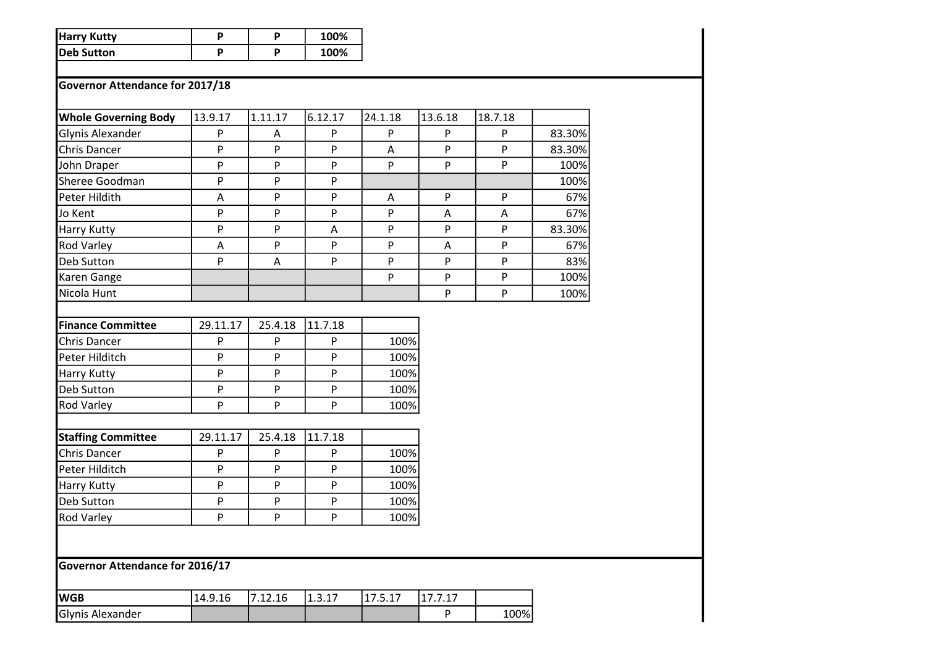| <b>Harry Kutty</b> |  | 100% |
|--------------------|--|------|
| Deb Sutton         |  | 100% |

## Governor Attendance for 2017/18

| <b>Whole Governing Body</b>            | 13.9.17      | 1.11.17 | 6.12.17        | 24.1.18 | 13.6.18      | 18.7.18 |        |
|----------------------------------------|--------------|---------|----------------|---------|--------------|---------|--------|
| Glynis Alexander                       | ${\sf P}$    | A       | P              | P       | P            | P       | 83.30% |
| Chris Dancer                           | P            | P       | P              | A       | P            | P       | 83.30% |
| John Draper                            | P            | P       | P              | P       | P            | P       | 100%   |
| Sheree Goodman                         | $\mathsf{P}$ | P       | P              |         |              |         | 100%   |
| Peter Hildith                          | A            | P       | P              | Α       | P            | P       | 67%    |
| Jo Kent                                | $\mathsf{P}$ | P       | $\overline{P}$ | P       | A            | A       | 67%    |
| <b>Harry Kutty</b>                     | $\mathsf{P}$ | P       | Α              | P       | ${\sf P}$    | P       | 83.30% |
| <b>Rod Varley</b>                      | Α            | P       | P              | P       | A            | P       | 67%    |
| Deb Sutton                             | P            | A       | P              | P       | $\mathsf{P}$ | P       | 83%    |
| Karen Gange                            |              |         |                | P       | P            | P       | 100%   |
| Nicola Hunt                            |              |         |                |         | P            | P       | 100%   |
|                                        |              |         |                |         |              |         |        |
| <b>Finance Committee</b>               | 29.11.17     | 25.4.18 | 11.7.18        |         |              |         |        |
| Chris Dancer                           | $\mathsf{P}$ | P       | P              | 100%    |              |         |        |
| Peter Hilditch                         | P            | P       | P              | 100%    |              |         |        |
| <b>Harry Kutty</b>                     | $\mathsf{P}$ | P       | $\mathsf{P}$   | 100%    |              |         |        |
| Deb Sutton                             | $\mathsf{P}$ | P       | $\mathsf{P}$   | 100%    |              |         |        |
| <b>Rod Varley</b>                      | $\mathsf{P}$ | P       | P              | 100%    |              |         |        |
|                                        |              |         |                |         |              |         |        |
| <b>Staffing Committee</b>              | 29.11.17     | 25.4.18 | 11.7.18        |         |              |         |        |
| Chris Dancer                           | $\mathsf{P}$ | P       | P              | 100%    |              |         |        |
| Peter Hilditch                         | P            | P       | P              | 100%    |              |         |        |
| <b>Harry Kutty</b>                     | $\mathsf{P}$ | P       | P              | 100%    |              |         |        |
| Deb Sutton                             | ${\sf P}$    | P       | P              | 100%    |              |         |        |
| <b>Rod Varley</b>                      | P            | P       | P              | 100%    |              |         |        |
|                                        |              |         |                |         |              |         |        |
|                                        |              |         |                |         |              |         |        |
| <b>Governor Attendance for 2016/17</b> |              |         |                |         |              |         |        |
| <b>WGB</b>                             | 14.9.16      | 7.12.16 | 1.3.17         | 17.5.17 | 17.7.17      |         |        |
| Glynis Alexander                       |              |         |                |         | P            | 100%    |        |